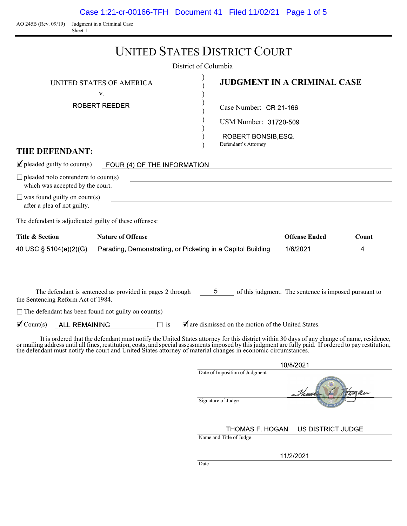Case 1:21-cr-00166-TFH Document 41 Filed 11/02/21 Page 1 of 5

AO 245B (Rev. 09/19) Judgment in a Criminal Case Sheet 1

|                                                                                                                                                      |                                                                                                                                                                                                                                                                                                                                                                                                                        | <b>UNITED STATES DISTRICT COURT</b><br>District of Columbia                                    |                                                       |            |
|------------------------------------------------------------------------------------------------------------------------------------------------------|------------------------------------------------------------------------------------------------------------------------------------------------------------------------------------------------------------------------------------------------------------------------------------------------------------------------------------------------------------------------------------------------------------------------|------------------------------------------------------------------------------------------------|-------------------------------------------------------|------------|
|                                                                                                                                                      | UNITED STATES OF AMERICA<br>V.                                                                                                                                                                                                                                                                                                                                                                                         |                                                                                                | <b>JUDGMENT IN A CRIMINAL CASE</b>                    |            |
| THE DEFENDANT:                                                                                                                                       | ROBERT REEDER                                                                                                                                                                                                                                                                                                                                                                                                          | Case Number: CR 21-166<br>USM Number: 31720-509<br>ROBERT BONSIB, ESQ.<br>Defendant's Attorney |                                                       |            |
| $\blacksquare$ pleaded guilty to count(s)                                                                                                            | FOUR (4) OF THE INFORMATION                                                                                                                                                                                                                                                                                                                                                                                            |                                                                                                |                                                       |            |
| $\Box$ pleaded nolo contendere to count(s)<br>which was accepted by the court.<br>$\Box$ was found guilty on count(s)<br>after a plea of not guilty. |                                                                                                                                                                                                                                                                                                                                                                                                                        |                                                                                                |                                                       |            |
| The defendant is adjudicated guilty of these offenses:                                                                                               |                                                                                                                                                                                                                                                                                                                                                                                                                        |                                                                                                |                                                       |            |
| <b>Title &amp; Section</b><br>40 USC § 5104(e)(2)(G)                                                                                                 | <b>Nature of Offense</b><br>Parading, Demonstrating, or Picketing in a Capitol Building                                                                                                                                                                                                                                                                                                                                |                                                                                                | <b>Offense Ended</b><br>1/6/2021                      | Count<br>4 |
| the Sentencing Reform Act of 1984.<br>$\Box$ The defendant has been found not guilty on count(s)                                                     | The defendant is sentenced as provided in pages 2 through                                                                                                                                                                                                                                                                                                                                                              | $5^{\circ}$                                                                                    | of this judgment. The sentence is imposed pursuant to |            |
| $\mathbf{\nabla}$ Count(s)<br><b>ALL REMAINING</b>                                                                                                   | $\Box$ is                                                                                                                                                                                                                                                                                                                                                                                                              | $\blacksquare$ are dismissed on the motion of the United States.                               |                                                       |            |
|                                                                                                                                                      | It is ordered that the defendant must notify the United States attorney for this district within 30 days of any change of name, residence,<br>or mailing address until all fines, restitution, costs, and special assessments imposed by this judgment are fully paid. If ordered to pay restitution,<br>the defendant must notify the court and United States attorney of material changes in economic circumstances. |                                                                                                | 10/8/2021                                             |            |
|                                                                                                                                                      |                                                                                                                                                                                                                                                                                                                                                                                                                        | Date of Imposition of Judgment                                                                 | Thurs 7 Hoaan                                         |            |

Signature of Judge

THOMAS F. HOGAN US DISTRICT JUDGE

Name and Title of Judge

11/2/2021

Date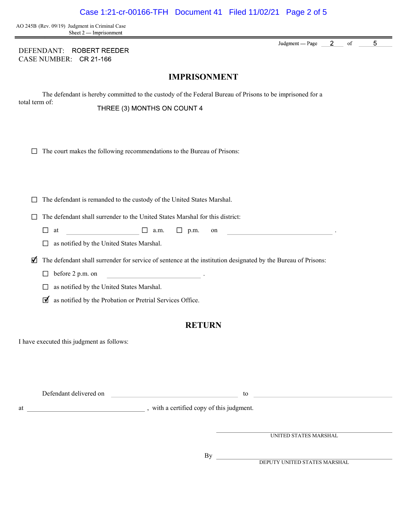AO 245B (Rev. 09/19) Judgment in Criminal Case Sheet 2 — Imprisonment

DEFENDANT: ROBERT REEDER CASE NUMBER:

IMPRISONMENT

The defendant is hereby committed to the custody of the Federal Bureau of Prisons to be imprisoned for a total term of: THREE (3) MONTHS ON COUNT 4

|  | $\Box$ The court makes the following recommendations to the Bureau of Prisons: |  |
|--|--------------------------------------------------------------------------------|--|
|  |                                                                                |  |
|  |                                                                                |  |
|  |                                                                                |  |

 $\Box$  The defendant is remanded to the custody of the United States Marshal.

 $\Box$  The defendant shall surrender to the United States Marshal for this district:

 $\Box$  at  $\Box$  a.m.  $\Box$  p.m. on .

□ as notified by the United States Marshal.

 $\blacktriangleright$  The defendant shall surrender for service of sentence at the institution designated by the Bureau of Prisons:

 $\Box$  before 2 p.m. on

□ as notified by the United States Marshal.

 $\blacksquare$  as notified by the Probation or Pretrial Services Office.

## **RETURN**

I have executed this judgment as follows:

|    | Defendant delivered on | tc                                      |  |
|----|------------------------|-----------------------------------------|--|
| at |                        | with a certified copy of this judgment. |  |

 $By$ 

UNITED STATES MARSHAL

DEPUTY UNITED STATES MARSHAL

 $2^{\circ}$  $\overline{5}$ Judgment — Page  $% \left( \left( \mathcal{A},\mathcal{A}\right) \right) =\left( \mathcal{A},\mathcal{A}\right)$  of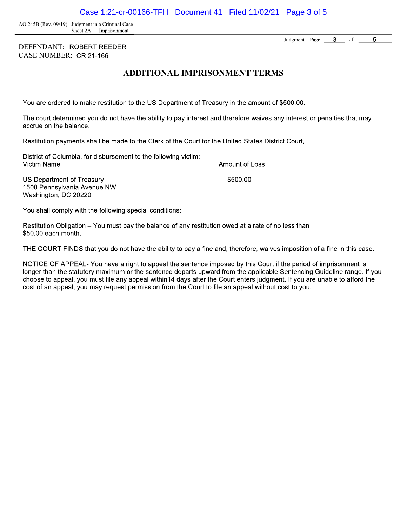Case 1:21-cr-00166-TFH Document 41 Filed 11/02/21 Page 3 of 5

AO 245B (Rev. 09/19) Judgment in a Criminal Case<br>Sheet 2A — Imprisonment

DEFENDANT: ROBERT REEDER CASE NUMBER:

## ADDITIONAL IMPRISONMENT TERMS

You are ordered to make restitution to the US Department of Treasury in the amount of \$500.00.

The court determined you do not have the ability to pay interest and therefore waives any interest or penalties that may accrue on the balance.

Restitution payments shall be made to the Clerk of the Court for the United States District Court,

District of Columbia, for disbursement to the following victim: Victim Name Amount of Loss \$500.00

**US Department of Treasury** 1500 Pennsylvania Avenue NW Washington, DC 20220

You shall comply with the following special conditions:

Restitution Obligation – You must pay the balance of any restitution owed at a rate of no less than \$50.00 each month.

THE COURT FINDS that you do not have the ability to pay a fine and, therefore, waives imposition of a fine in this case.

NOTICE OF APPEAL-You have a right to appeal the sentence imposed by this Court if the period of imprisonment is longer than the statutory maximum or the sentence departs upward from the applicable Sentencing Guideline range. If you choose to appeal, you must file any appeal within14 days after the Court enters judgment. If you are unable to afford the cost of an appeal, you may request permission from the Court to file an appeal without cost to you.

 $\overline{3}$ Judgment-Page of 5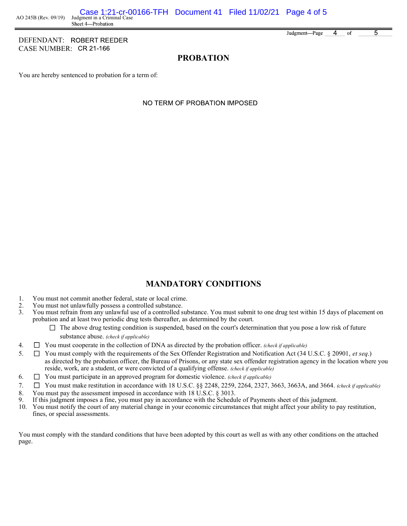DEFENDANT: ROBERT REEDER CASE NUMBER: CR 21-166

5 Judgment-Page 4 of

# PROBATION

You are hereby sentenced to probation for a term of:

NO TERM OF PROBATION IMPOSED

# MANDATORY CONDITIONS

- 1. You must not commit another federal, state or local crime.<br>2. You must not unlawfully possess a controlled substance.
- 2. You must not unlawfully possess a controlled substance.<br>3. You must refrain from any unlawful use of a controlled s
- 3. You must refrain from any unlawful use of a controlled substance. You must submit to one drug test within 15 days of placement on probation and at least two periodic drug tests thereafter, as determined by the court.
	- $\Box$  The above drug testing condition is suspended, based on the court's determination that you pose a low risk of future substance abuse. (check if applicable)
- 4.  $\Box$  You must cooperate in the collection of DNA as directed by the probation officer. (check if applicable)
- 5.  $\Box$  You must comply with the requirements of the Sex Offender Registration and Notification Act (34 U.S.C. § 20901, *et seq.*) as directed by the probation officer, the Bureau of Prisons, or any state sex offender registration agency in the location where you reside, work, are a student, or were convicted of a qualifying offense. (check if applicable)
- 6.  $\Box$  You must participate in an approved program for domestic violence. (check if applicable)
- 7.  $\Box$  You must make restitution in accordance with 18 U.S.C. §§ 2248, 2259, 2264, 2327, 3663, 3663A, and 3664. (check if applicable)
- 8. You must pay the assessment imposed in accordance with 18 U.S.C. § 3013.<br>9. If this judgment imposes a fine, you must pay in accordance with the Schedu
- 9. If this judgment imposes a fine, you must pay in accordance with the Schedule of Payments sheet of this judgment.<br>10. You must notify the court of any material change in your economic circumstances that might affect you
- 10. You must notify the court of any material change in your economic circumstances that might affect your ability to pay restitution, fines, or special assessments.

You must comply with the standard conditions that have been adopted by this court as well as with any other conditions on the attached page.